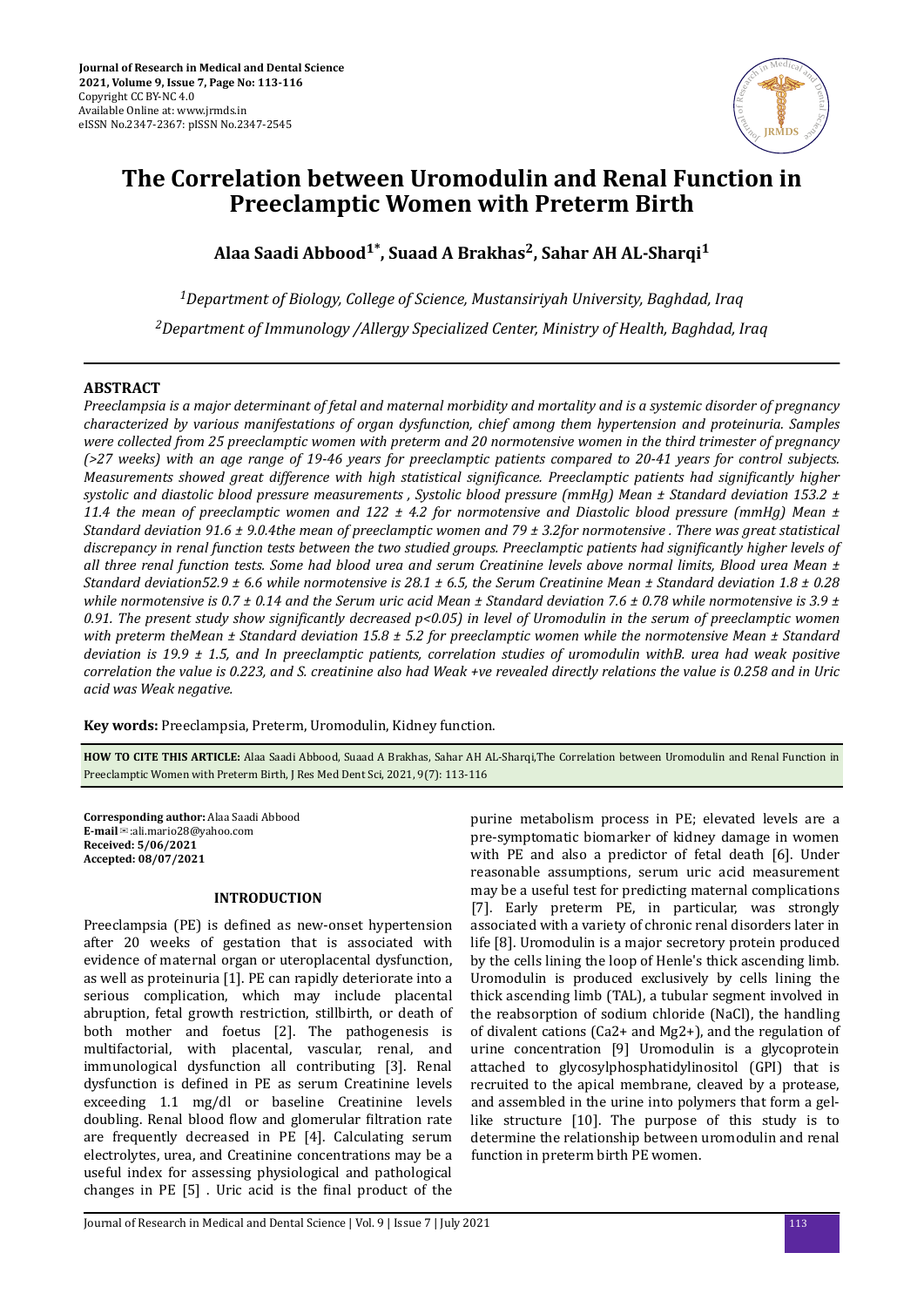

# **The Correlation between Uromodulin and Renal Function in Preeclamptic Women with Preterm Birth**

**Alaa Saadi Abbood1\*, Suaad A Brakhas<sup>2</sup> , Sahar AH AL-Sharqi<sup>1</sup>**

*<sup>1</sup>Department of Biology, College of Science, Mustansiriyah University, Baghdad, Iraq <sup>2</sup>Department of Immunology /Allergy Specialized Center, Ministry of Health, Baghdad, Iraq*

# **ABSTRACT**

*Preeclampsia is a major determinant of fetal and maternal morbidity and mortality and is a systemic disorder of pregnancy characterized by various manifestations of organ dysfunction, chief among them hypertension and proteinuria. Samples were collected from 25 preeclamptic women with preterm and 20 normotensive women in the third trimester of pregnancy (>27 weeks) with an age range of 19-46 years for preeclamptic patients compared to 20-41 years for control subjects. Measurements showed great difference with high statistical significance. Preeclamptic patients had significantly higher systolic and diastolic blood pressure measurements , Systolic blood pressure (mmHg) Mean ± Standard deviation 153.2 ± 11.4 the mean of preeclamptic women and 122 ± 4.2 for normotensive and Diastolic blood pressure (mmHg) Mean ± Standard deviation 91.6 ± 9.0.4the mean of preeclamptic women and 79 ± 3.2for normotensive . There was great statistical discrepancy in renal function tests between the two studied groups. Preeclamptic patients had significantly higher levels of all three renal function tests. Some had blood urea and serum Creatinine levels above normal limits, Blood urea Mean ± Standard deviation52.9 ± 6.6 while normotensive is 28.1 ± 6.5, the Serum Creatinine Mean ± Standard deviation 1.8 ± 0.28 while normotensive is 0.7 ± 0.14 and the Serum uric acid Mean ± Standard deviation 7.6 ± 0.78 while normotensive is 3.9 ± 0.91. The present study show significantly decreased p<0.05) in level of Uromodulin in the serum of preeclamptic women with preterm theMean ± Standard deviation 15.8 ± 5.2 for preeclamptic women while the normotensive Mean ± Standard deviation is 19.9 ± 1.5, and In preeclamptic patients, correlation studies of uromodulin withB. urea had weak positive correlation the value is 0.223, and S. creatinine also had Weak +ve revealed directly relations the value is 0.258 and in Uric acid was Weak negative.*

**Key words:** Preeclampsia, Preterm, Uromodulin, Kidney function.

**HOW TO CITE THIS ARTICLE:** Alaa Saadi Abbood, Suaad A Brakhas, Sahar AH AL-Sharqi,The Correlation between Uromodulin and Renal Function in Preeclamptic Women with Preterm Birth, J Res Med Dent Sci, 2021, 9(7): 113-116

**Corresponding author:** Alaa Saadi Abbood **E-mail**✉:ali.mario28@yahoo.com **Received: 5/06/2021 Accepted: 08/07/2021** 

## **INTRODUCTION**

Preeclampsia (PE) is defined as new-onset hypertension after 20 weeks of gestation that is associated with evidence of maternal organ or uteroplacental dysfunction, as well as proteinuria [1]. PE can rapidly deteriorate into a serious complication, which may include placental abruption, fetal growth restriction, stillbirth, or death of both mother and foetus [2]. The pathogenesis is multifactorial, with placental, vascular, renal, and immunological dysfunction all contributing [3]. Renal dysfunction is defined in PE as serum Creatinine levels exceeding 1.1 mg/dl or baseline Creatinine levels doubling. Renal blood flow and glomerular filtration rate are frequently decreased in PE [4]. Calculating serum electrolytes, urea, and Creatinine concentrations may be a useful index for assessing physiological and pathological changes in PE [5]. Uric acid is the final product of the

purine metabolism process in PE; elevated levels are a pre-symptomatic biomarker of kidney damage in women with PE and also a predictor of fetal death [6]. Under reasonable assumptions, serum uric acid measurement may be a useful test for predicting maternal complications [7]. Early preterm PE, in particular, was strongly associated with a variety of chronic renal disorders later in life [8]. Uromodulin is a major secretory protein produced by the cells lining the loop of Henle's thick ascending limb. Uromodulin is produced exclusively by cells lining the thick ascending limb (TAL), a tubular segment involved in the reabsorption of sodium chloride (NaCl), the handling of divalent cations (Ca2+ and Mg2+), and the regulation of urine concentration [9] Uromodulin is a glycoprotein attached to glycosylphosphatidylinositol (GPI) that is recruited to the apical membrane, cleaved by a protease, and assembled in the urine into polymers that form a gellike structure [10]. The purpose of this study is to determine the relationship between uromodulin and renal function in preterm birth PE women.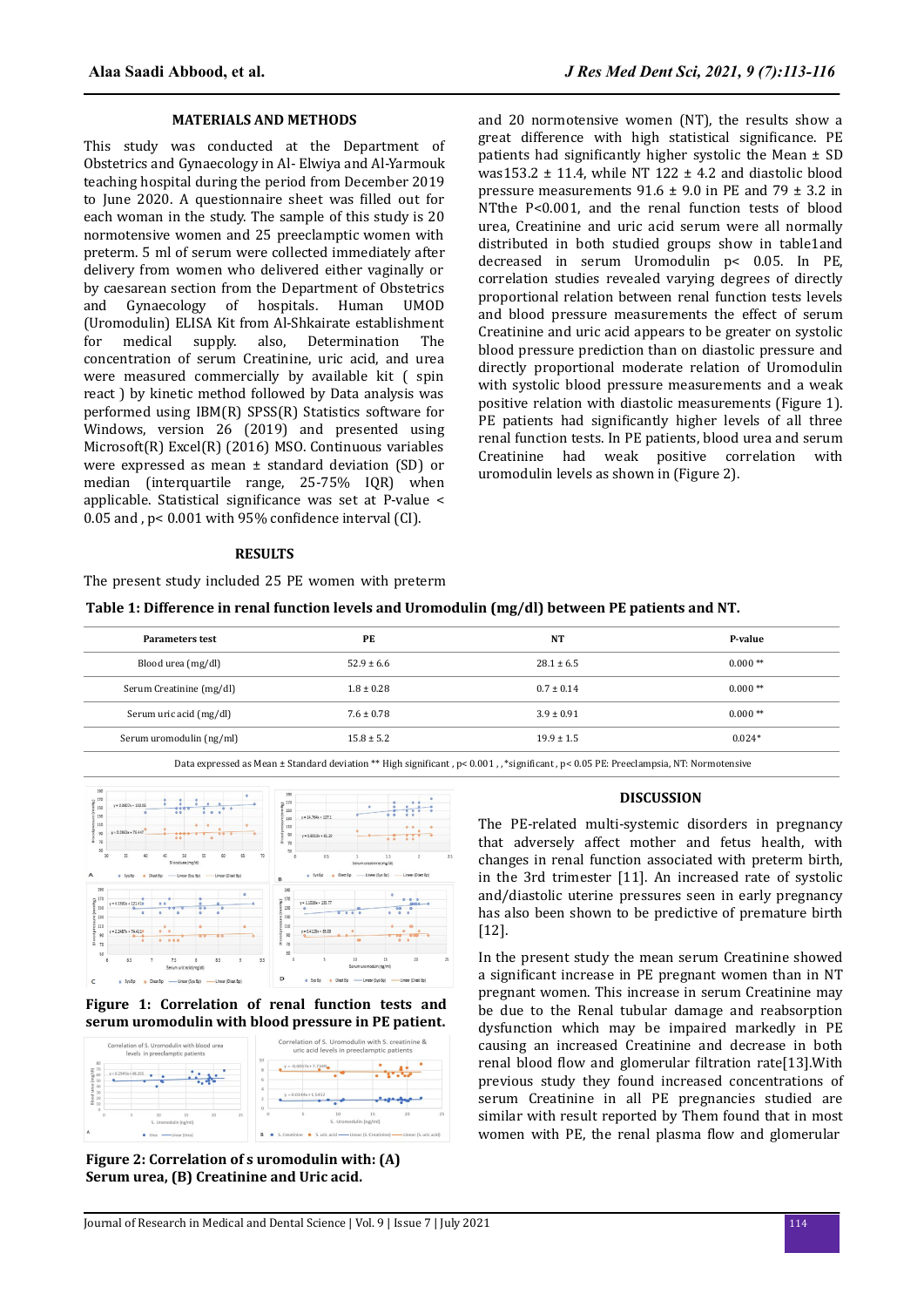#### **MATERIALS AND METHODS**

This study was conducted at the Department of Obstetrics and Gynaecology in Al- Elwiya and Al-Yarmouk teaching hospital during the period from December 2019 to June 2020. A questionnaire sheet was filled out for each woman in the study. The sample of this study is 20 normotensive women and 25 preeclamptic women with preterm. 5 ml of serum were collected immediately after delivery from women who delivered either vaginally or by caesarean section from the Department of Obstetrics and Gynaecology of hospitals. Human UMOD (Uromodulin) ELISA Kit from Al-Shkairate establishment for medical supply. also, Determination The concentration of serum Creatinine, uric acid, and urea were measured commercially by available kit ( spin react ) by kinetic method followed by Data analysis was performed using IBM(R) SPSS(R) Statistics software for Windows, version 26 (2019) and presented using Microsoft(R) Excel(R) (2016) MSO. Continuous variables were expressed as mean ± standard deviation (SD) or median (interquartile range, 25-75% IQR) when applicable. Statistical significance was set at P-value < 0.05 and ,  $p < 0.001$  with 95% confidence interval (CI).

and 20 normotensive women (NT), the results show a great difference with high statistical significance. PE patients had significantly higher systolic the Mean  $\pm$  SD was153.2  $\pm$  11.4, while NT 122  $\pm$  4.2 and diastolic blood pressure measurements  $91.6 \pm 9.0$  in PE and  $79 \pm 3.2$  in NTthe P<0.001, and the renal function tests of blood urea, Creatinine and uric acid serum were all normally distributed in both studied groups show in table1and decreased in serum Uromodulin p< 0.05. In PE, correlation studies revealed varying degrees of directly proportional relation between renal function tests levels and blood pressure measurements the effect of serum Creatinine and uric acid appears to be greater on systolic blood pressure prediction than on diastolic pressure and directly proportional moderate relation of Uromodulin with systolic blood pressure measurements and a weak positive relation with diastolic measurements (Figure 1). PE patients had significantly higher levels of all three renal function tests. In PE patients, blood urea and serum Creatinine had weak positive correlation with uromodulin levels as shown in (Figure 2).

#### **RESULTS**

The present study included 25 PE women with preterm

| <b>Parameters test</b>   | PE             | NT             | P-value   |
|--------------------------|----------------|----------------|-----------|
| Blood urea (mg/dl)       | $52.9 \pm 6.6$ | $28.1 \pm 6.5$ | $0.000**$ |
| Serum Creatinine (mg/dl) | $1.8 \pm 0.28$ | $0.7 \pm 0.14$ | $0.000**$ |
| Serum uric acid (mg/dl)  | $7.6 \pm 0.78$ | $3.9 \pm 0.91$ | $0.000**$ |
| Serum uromodulin (ng/ml) | $15.8 \pm 5.2$ | $19.9 \pm 1.5$ | $0.024*$  |
|                          |                |                |           |

Data expressed as Mean ± Standard deviation \*\* High significant , p< 0.001 , , \*significant , p< 0.05 PE: Preeclampsia, NT: Normotensive



#### **Figure 1: Correlation of renal function tests and serum uromodulin with blood pressure in PE patient.**



**Figure 2: Correlation of s uromodulin with: (A) Serum urea, (B) Creatinine and Uric acid.**

#### **DISCUSSION**

The PE-related multi-systemic disorders in pregnancy that adversely affect mother and fetus health, with changes in renal function associated with preterm birth, in the 3rd trimester [11]. An increased rate of systolic and/diastolic uterine pressures seen in early pregnancy has also been shown to be predictive of premature birth [12].

In the present study the mean serum Creatinine showed a significant increase in PE pregnant women than in NT pregnant women. This increase in serum Creatinine may be due to the Renal tubular damage and reabsorption dysfunction which may be impaired markedly in PE causing an increased Creatinine and decrease in both renal blood flow and glomerular filtration rate[13]. With previous study they found increased concentrations of serum Creatinine in all PE pregnancies studied are similar with result reported by Them found that in most women with PE, the renal plasma flow and glomerular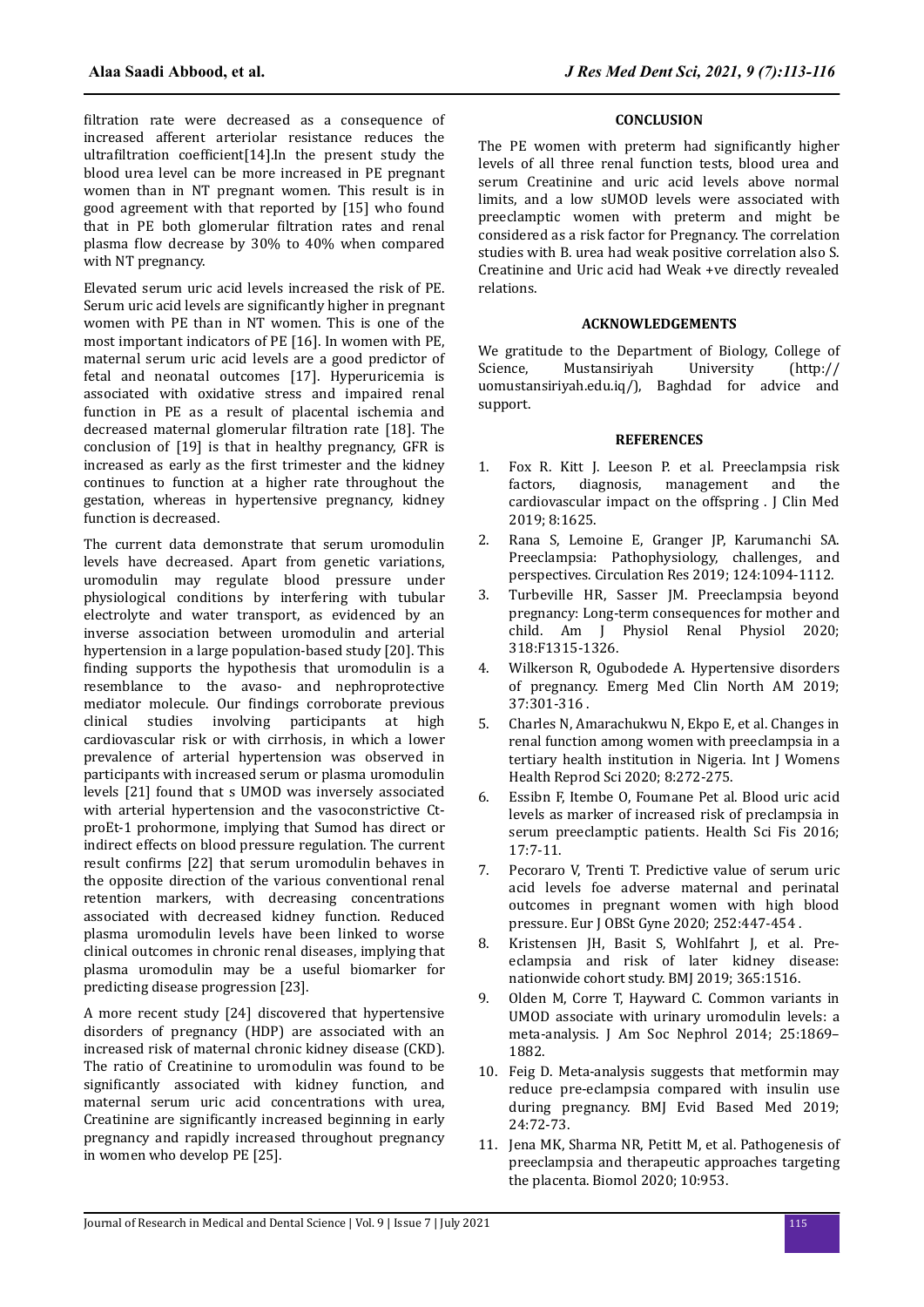filtration rate were decreased as a consequence of increased afferent arteriolar resistance reduces the ultrafiltration coefficient[14]. In the present study the blood urea level can be more increased in PE pregnant women than in NT pregnant women. This result is in good agreement with that reported by [15] who found that in PE both glomerular filtration rates and renal plasma flow decrease by  $30\%$  to  $40\%$  when compared with NT pregnancy.

Elevated serum uric acid levels increased the risk of PE. Serum uric acid levels are significantly higher in pregnant women with PE than in NT women. This is one of the most important indicators of PE [16]. In women with PE, maternal serum uric acid levels are a good predictor of fetal and neonatal outcomes [17]. Hyperuricemia is associated with oxidative stress and impaired renal function in PE as a result of placental ischemia and decreased maternal glomerular filtration rate [18]. The conclusion of [19] is that in healthy pregnancy, GFR is increased as early as the first trimester and the kidney continues to function at a higher rate throughout the gestation, whereas in hypertensive pregnancy, kidney function is decreased.

The current data demonstrate that serum uromodulin levels have decreased. Apart from genetic variations, uromodulin may regulate blood pressure under physiological conditions by interfering with tubular electrolyte and water transport, as evidenced by an inverse association between uromodulin and arterial hypertension in a large population-based study [20]. This finding supports the hypothesis that uromodulin is a resemblance to the avaso- and nephroprotective mediator molecule. Our findings corroborate previous clinical studies involving participants at high cardiovascular risk or with cirrhosis, in which a lower prevalence of arterial hypertension was observed in participants with increased serum or plasma uromodulin levels [21] found that s UMOD was inversely associated with arterial hypertension and the vasoconstrictive CtproEt-1 prohormone, implying that Sumod has direct or indirect effects on blood pressure regulation. The current result confirms [22] that serum uromodulin behaves in the opposite direction of the various conventional renal retention markers, with decreasing concentrations associated with decreased kidney function. Reduced plasma uromodulin levels have been linked to worse clinical outcomes in chronic renal diseases, implying that plasma uromodulin may be a useful biomarker for predicting disease progression [23].

A more recent study [24] discovered that hypertensive disorders of pregnancy (HDP) are associated with an increased risk of maternal chronic kidney disease (CKD). The ratio of Creatinine to uromodulin was found to be significantly associated with kidney function, and maternal serum uric acid concentrations with urea, Creatinine are significantly increased beginning in early pregnancy and rapidly increased throughout pregnancy in women who develop PE [25].

#### **CONCLUSION**

The PE women with preterm had significantly higher levels of all three renal function tests, blood urea and serum Creatinine and uric acid levels above normal limits, and a low sUMOD levels were associated with preeclamptic women with preterm and might be considered as a risk factor for Pregnancy. The correlation studies with B. urea had weak positive correlation also S. Creatinine and Uric acid had Weak +ve directly revealed relations.

### **ACKNOWLEDGEMENTS**

We gratitude to the Department of Biology, College of Science, Mustansiriyah University (http:// uomustansiriyah.edu.iq/), Baghdad for advice and support.

### **REFERENCES**

- 1. Fox R. Kitt J. Leeson P. et al. Preeclampsia risk factors, diagnosis, management and the cardiovascular impact on the offspring . J Clin Med 2019; 8:1625.
- 2. Rana S, Lemoine E, Granger JP, Karumanchi SA. Preeclampsia: Pathophysiology, challenges, and perspectives. Circulation Res 2019; 124:1094-1112.
- 3. Turbeville HR, Sasser JM. Preeclampsia beyond pregnancy: Long-term consequences for mother and child. Am J Physiol Renal Physiol 2020; 318:F1315-1326.
- 4. Wilkerson R, Ogubodede A. Hypertensive disorders of pregnancy. Emerg Med Clin North AM 2019; 37:301-316 .
- 5. Charles N, Amarachukwu N, Ekpo E, et al. Changes in renal function among women with preeclampsia in a tertiary health institution in Nigeria. Int I Womens Health Reprod Sci 2020; 8:272-275.
- 6. Essibn F, Itembe O, Foumane Pet al. Blood uric acid levels as marker of increased risk of preclampsia in serum preeclamptic patients. Health Sci Fis 2016; 17:7-11.
- 7. Pecoraro V, Trenti T. Predictive value of serum uric acid levels foe adverse maternal and perinatal outcomes in pregnant women with high blood pressure. Eur J OBSt Gyne 2020; 252:447-454 .
- 8. Kristensen JH, Basit S, Wohlfahrt J, et al. Preeclampsia and risk of later kidney disease: nationwide cohort study. BMJ 2019; 365:1516.
- 9. Olden M, Corre T, Hayward C. Common variants in UMOD associate with urinary uromodulin levels: a meta-analysis. J Am Soc Nephrol 2014; 25:1869– 1882.
- 10. Feig D. Meta-analysis suggests that metformin may reduce pre-eclampsia compared with insulin use during pregnancy. BMJ Evid Based Med 2019; 24:72-73.
- 11. Jena MK, Sharma NR, Petitt M, et al. Pathogenesis of preeclampsia and therapeutic approaches targeting the placenta. Biomol 2020; 10:953.